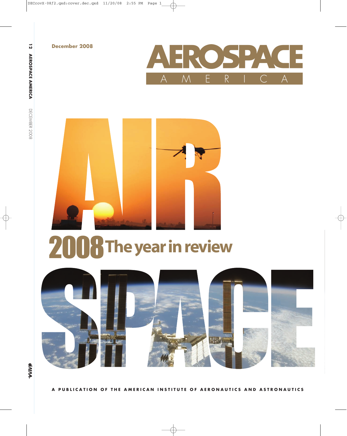**December 2008**



**A MERIC A** DECEMBER

**12**

**AER**

**OSP A CE**



# 2008**Theyearinreview**

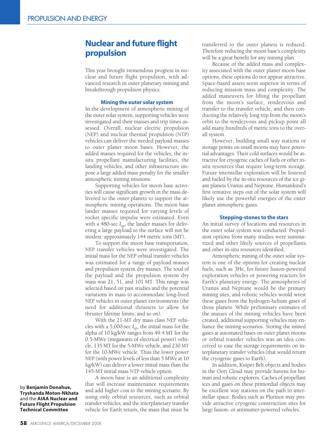## **Nuclear and future flight propulsion**

This year brought tremendous progress in nuclear and future flight propulsion, with advanced research in outer planetary mining and breakthrough propulsion physics.

#### **Mining the outer solar system**

In the development of atmospheric mining of the outer solar system, supporting vehicles were investigated and their masses and trip times assessed. Overall, nuclear electric propulsion (NEP) and nuclear thermal propulsion (NTP) vehicles can deliver the needed payload masses to outer planet moon bases. However, the added masses required for the vehicles, the insitu propellant manufacturing facilities, the landing vehicles, and other infrastructure impose a large added mass penalty for the smaller atmospheric mining missions.

Supporting vehicles for moon base activities will cause significant growth in the mass delivered to the outer planets to support the atmospheric mining operations. The moon base lander masses required for varying levels of rocket specific impulse were estimated. Even with a 480-sec  $I_{\rm sp}$ , the lander masses for delivering a large payload to the surface will not be modest: approximately 144 metric tons (MT).

To support the moon base transportation, NEP transfer vehicles were investigated. The initial mass for the NEP orbital transfer vehicles was estimated for a range of payload masses and propulsion system dry masses. The total of the payload and the propulsion system dry mass was 21, 51, and 101 MT. This range was selected based on past studies and the potential variations in mass to accommodate long-lived NEP vehicles in outer planet environments (the need for additional thrusters to allow for thruster lifetime limits, and so on).

With the 21-MT dry mass class NEP vehicles with a 5,000-sec *I*sp, the initial mass for the alpha of 10 kg/kW ranges from 49.4 MT for the 0.5-MWe (megawatts of electrical power) vehicle, 135 MT for the 5-MWe vehicle, and 230 MT for the 10-MWe vehicle. Thus the lower power NEP (with power levels of less than 5 MWe at 10 kg/kW) can deliver a lower initial mass than the 145-MT initial mass NTP vehicle option.

A moon base is an additional complexity that will increase maintenance requirements and add higher cost to the mining scenario. By using only orbital resources, such as orbital transfer vehicles, and the interplanetary transfer vehicle for Earth return, the mass that must be

transferred to the outer planets is reduced. Therefore reducing the moon base's complexity will be a great benefit for any mining plan.

Because of the added mass and complexity associated with the outer planet moon base options, these options do not appear attractive. Space-based assets seem superior in terms of reducing mission mass and complexity. The added maneuvers for lifting the propellant from the moon's surface, rendezvous and transfer to the transfer vehicle, and then conducting the relatively long trip from the moon's orbit to the rendezvous and pickup point all add many hundreds of metric tons to the overall system.

However, building small way stations or storage points on small moons may have potential advantages. Their cold surfaces would be attractive for cryogenic caches of fuels or other insitu resources that require long-term storage. Future interstellar exploration will be fostered and fueled by the in-situ resources of the ice giant planets Uranus and Neptune. Humankind's first tentative steps out of the solar system will likely use the powerful energies of the outer planet atmospheric gases.

#### **Stepping-stones to the stars**

An initial survey of locations and resources in the outer solar system was conducted. Propulsion options from many studies were summarized and other likely sources of propellants and other in-situ resources identified.

Atmospheric mining of the outer solar system is one of the options for creating nuclear fuels, such as 3He, for future fusion-powered exploration vehicles or powering reactors for Earth's planetary energy. The atmospheres of Uranus and Neptune would be the primary mining sites, and robotic vehicles would wrest these gases from the hydrogen-helium gases of those planets. While preliminary estimates of the masses of the mining vehicles have been created, additional supporting vehicles may enhance the mining scenarios. Storing the mined gases at automated bases on outer planet moons or orbital transfer vehicles was an idea conceived to ease the storage requirements on interplanetary transfer vehicles (that would return the cryogenic gases to Earth).

In addition, Kuiper Belt objects and bodies in the Oort Cloud may provide havens for human and robotic explorers. Caches of propellant ices and gases on these primordial objects may be excellent way stations on the path to interstellar space. Bodies such as Plutinos may provide attractive cryogenic construction sites for large fusion- or antimatter-powered vehicles.

by **Benjamin Donahue, Tryshanda Moton-Nkhata** and the **AIAA Nuclear and Future Flight Propulsion Technical Committee**